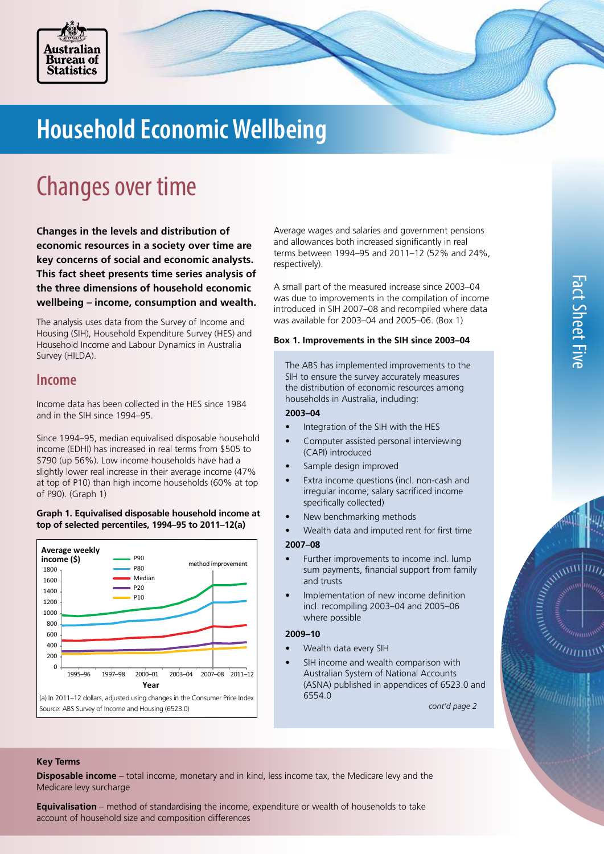

# **Household Economic Wellbeing**

## Changes over time

**Changes in the levels and distribution of economic resources in a society over time are key concerns of social and economic analysts. This fact sheet presents time series analysis of the three dimensions of household economic wellbeing – income, consumption and wealth.**

The analysis uses data from the Survey of Income and Housing (SIH), Household Expenditure Survey (HES) and Household Income and Labour Dynamics in Australia Survey (HILDA).

### **Income**

Income data has been collected in the HES since 1984 and in the SIH since 1994–95.

Since 1994–95, median equivalised disposable household income (EDHI) has increased in real terms from \$505 to \$790 (up 56%). Low income households have had a slightly lower real increase in their average income (47% at top of P10) than high income households (60% at top of P90). (Graph 1)

#### **Graph 1. Equivalised disposable household income at top of selected percentiles, 1994–95 to 2011–12(a)**



Average wages and salaries and government pensions and allowances both increased significantly in real terms between 1994–95 and 2011–12 (52% and 24%, respectively).

A small part of the measured increase since 2003–04 was due to improvements in the compilation of income introduced in SIH 2007–08 and recompiled where data was available for 2003–04 and 2005–06. (Box 1)

#### **Box 1. Improvements in the SIH since 2003–04**

The ABS has implemented improvements to the SIH to ensure the survey accurately measures the distribution of economic resources among households in Australia, including:

#### **2003–04**

- Integration of the SIH with the HES
- Computer assisted personal interviewing (CAPI) introduced
- Sample design improved
- Extra income questions (incl. non-cash and irregular income; salary sacrificed income specifically collected)
- New benchmarking methods
- Wealth data and imputed rent for first time

#### **2007–08**

- Further improvements to income incl. lump sum payments, financial support from family and trusts
- Implementation of new income definition incl. recompiling 2003–04 and 2005–06 where possible

#### **2009–10**

- Wealth data every SIH
- SIH income and wealth comparison with Australian System of National Accounts (ASNA) published in appendices of 6523.0 and 6554.0

*cont'd page 2*

#### **Key Terms**

**Disposable income** – total income, monetary and in kind, less income tax, the Medicare levy and the Medicare levy surcharge

**Equivalisation** – method of standardising the income, expenditure or wealth of households to take account of household size and composition differences

A CONTROLLER SEA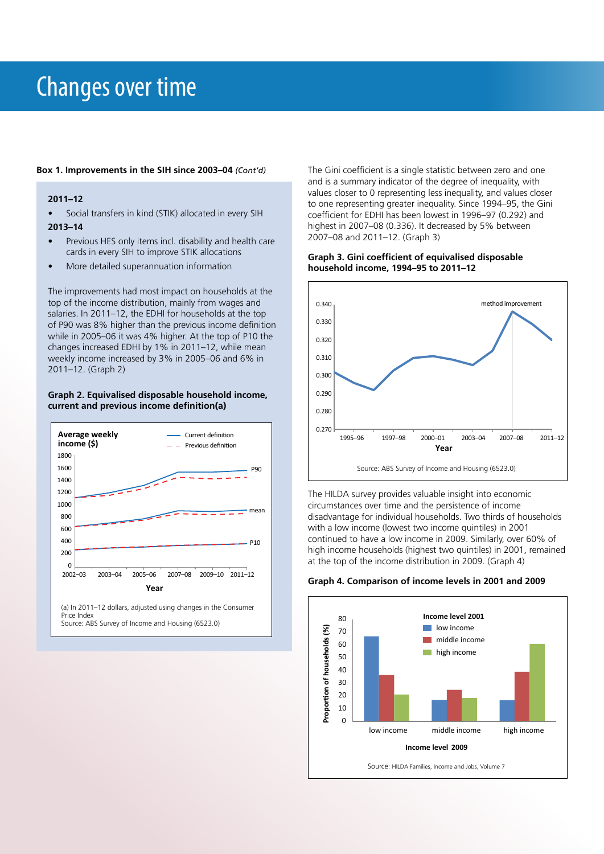## Changes over time

#### **2011–12**

- Social transfers in kind (STIK) allocated in every SIH **2013–14**
- 
- Previous HES only items incl. disability and health care cards in every SIH to improve STIK allocations
- More detailed superannuation information

The improvements had most impact on households at the top of the income distribution, mainly from wages and salaries. In 2011–12, the EDHI for households at the top of P90 was 8% higher than the previous income definition while in 2005–06 it was 4% higher. At the top of P10 the changes increased EDHI by 1% in 2011–12, while mean weekly income increased by 3% in 2005–06 and 6% in 2011–12. (Graph 2)

#### **Graph 2. Equivalised disposable household income, current and previous income definition(a)**



**Box 1. Improvements in the SIH since 2003–04** *(Cont'd)* The Gini coefficient is a single statistic between zero and one and is a summary indicator of the degree of inequality, with values closer to 0 representing less inequality, and values closer to one representing greater inequality. Since 1994–95, the Gini coefficient for EDHI has been lowest in 1996–97 (0.292) and highest in 2007–08 (0.336). It decreased by 5% between 2007–08 and 2011–12. (Graph 3)

#### **Graph 3. Gini coefficient of equivalised disposable household income, 1994–95 to 2011–12**



The HILDA survey provides valuable insight into economic circumstances over time and the persistence of income disadvantage for individual households. Two thirds of households with a low income (lowest two income quintiles) in 2001 continued to have a low income in 2009. Similarly, over 60% of high income households (highest two quintiles) in 2001, remained at the top of the income distribution in 2009. (Graph 4)



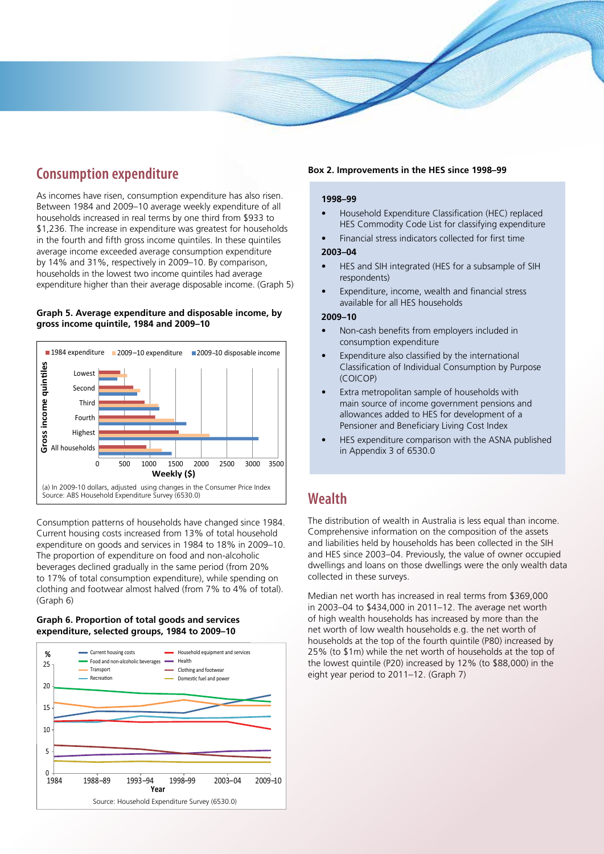## **Consumption expenditure**

As incomes have risen, consumption expenditure has also risen. Between 1984 and 2009–10 average weekly expenditure of all households increased in real terms by one third from \$933 to \$1,236. The increase in expenditure was greatest for households in the fourth and fifth gross income quintiles. In these quintiles average income exceeded average consumption expenditure by 14% and 31%, respectively in 2009–10. By comparison, households in the lowest two income quintiles had average expenditure higher than their average disposable income. (Graph 5)

#### **Graph 5. Average expenditure and disposable income, by gross income quintile, 1984 and 2009–10**



Consumption patterns of households have changed since 1984. Current housing costs increased from 13% of total household expenditure on goods and services in 1984 to 18% in 2009–10. The proportion of expenditure on food and non-alcoholic beverages declined gradually in the same period (from 20% to 17% of total consumption expenditure), while spending on clothing and footwear almost halved (from 7% to 4% of total). (Graph 6)

#### **Graph 6. Proportion of total goods and services expenditure, selected groups, 1984 to 2009–10**



#### **Box 2. Improvements in the HES since 1998–99**

#### **1998–99**

- Household Expenditure Classification (HEC) replaced HES Commodity Code List for classifying expenditure
- Financial stress indicators collected for first time

#### **2003–04**

- HES and SIH integrated (HES for a subsample of SIH respondents)
- Expenditure, income, wealth and financial stress available for all HES households

#### **2009–10**

- Non-cash benefits from employers included in consumption expenditure
- Expenditure also classified by the international Classification of Individual Consumption by Purpose (COICOP)
- Extra metropolitan sample of households with main source of income government pensions and allowances added to HES for development of a Pensioner and Beneficiary Living Cost Index
- HES expenditure comparison with the ASNA published in Appendix 3 of 6530.0

### **Wealth**

The distribution of wealth in Australia is less equal than income. Comprehensive information on the composition of the assets and liabilities held by households has been collected in the SIH and HES since 2003–04. Previously, the value of owner occupied dwellings and loans on those dwellings were the only wealth data collected in these surveys.

Median net worth has increased in real terms from \$369,000 in 2003–04 to \$434,000 in 2011–12. The average net worth of high wealth households has increased by more than the net worth of low wealth households e.g. the net worth of households at the top of the fourth quintile (P80) increased by 25% (to \$1m) while the net worth of households at the top of the lowest quintile (P20) increased by 12% (to \$88,000) in the eight year period to 2011–12. (Graph 7)